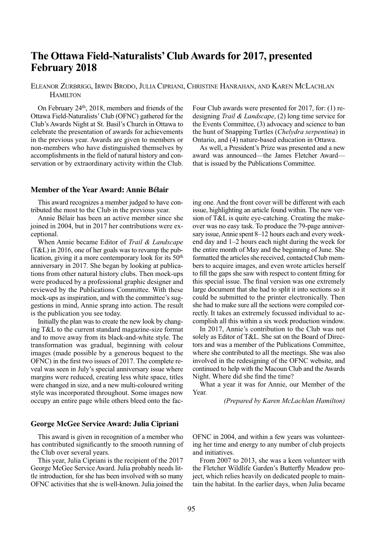# **The Ottawa Field-Naturalists'Club Awards for 2017, presented February 2018**

ElEANOr ZurBrIGG, IrWIN BrOdO, JulIA CIPrIANI, ChrISTINE hANrAhAN, ANd KArEN MClAChlAN **HAMILTON** 

On February 24<sup>th</sup>, 2018, members and friends of the Ottawa Field-Naturalists'Club (OFNC) gathered for the Club's Awards Night at St. Basil's Church in Ottawa to celebrate the presentation of awards for achievements in the previous year. Awards are given to members or non-members who have distinguished themselves by accomplishments in the field of natural history and conservation or by extraordinary activity within the Club.

Four Club awards were presented for 2017, for: (1) redesigning *Trail & Landscape*, (2) long time service for the Events Committee, (3) advocacy and science to ban the hunt of Snapping Turtles (*Chelydra serpentina*) in Ontario, and (4) nature-based education in Ottawa.

As well, a President's Prize was presented and a new award was announced—the James Fletcher Award that is issued by the Publications Committee.

### **Member of the Year Award: Annie Bélair**

This award recognizes a member judged to have contributed the most to the Club in the previous year.

Annie Bélair has been an active member since she joined in 2004, but in 2017 her contributions were exceptional.

When Annie became Editor of *Trail & Landscape* (T&l) in 2016, one of her goals was to revamp the publication, giving it a more contemporary look for its 50<sup>th</sup> anniversary in 2017. She began by looking at publications from other natural history clubs. Then mock-ups were produced by a professional graphic designer and reviewed by the Publications Committee. With these mock-ups as inspiration, and with the committee's suggestions in mind, Annie sprang into action. The result is the publication you see today.

Initially the plan was to create the new look by changing T&l to the current standard magazine-size format and to move away from its black-and-white style. The transformation was gradual, beginning with colour images (made possible by a generous bequest to the OFNC) in the first two issues of 2017. The complete reveal was seen in July's special anniversary issue where margins were reduced, creating less white space, titles were changed in size, and a new multi-coloured writing style was incorporated throughout. Some images now occupy an entire page while others bleed onto the fac-

ing one. And the front cover will be different with each issue, highlighting an article found within. The new version of T&l is quite eye-catching. Creating the makeover was no easy task. To produce the 79-page anniversary issue,Annie spent 8–12 hours each and every weekend day and 1–2 hours each night during the week for the entire month of May and the beginning of June. She formatted the articles she received, contacted Club members to acquire images, and even wrote articles herself to fill the gaps she saw with respect to content fitting for this special issue. The final version was one extremely large document that she had to split it into sections so it could be submitted to the printer electronically. Then she had to make sure all the sections were compiled correctly. It takes an extremely focussed individual to accomplish all this within a six week production window.

In 2017, Annie's contribution to the Club was not solely as Editor of T&L. She sat on the Board of Directors and was a member of the Publications Committee, where she contributed to all the meetings. She was also involved in the redesigning of the OFNC website, and continued to help with the Macoun Club and the Awards Night. Where did she find the time?

What a year it was for Annie, our Member of the Year.

*(Prepared by Karen McLachlan Hamilton)*

#### **George McGee Service Award: Julia Cipriani**

This award is given in recognition of a member who has contributed significantly to the smooth running of the Club over several years.

This year, Julia Cipriani is the recipient of the 2017 George McGee Service Award. Julia probably needs little introduction, for she has been involved with so many OFNC activities that she is well-known. Julia joined the

OFNC in 2004, and within a few years was volunteering her time and energy to any number of club projects and initiatives.

From 2007 to 2013, she was a keen volunteer with the Fletcher Wildlife Garden's Butterfly Meadow project, which relies heavily on dedicated people to maintain the habitat. In the earlier days, when Julia became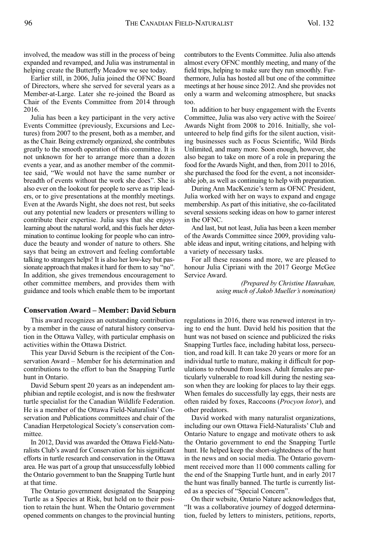involved, the meadow was still in the process of being expanded and revamped, and Julia was instrumental in helping create the Butterfly Meadow we see today.

Earlier still, in 2006, Julia joined the OFNC Board of Directors, where she served for several years as a Member-at-large. later she re-joined the Board as Chair of the Events Committee from 2014 through 2016.

Julia has been a key participant in the very active Events Committee (previously, Excursions and lectures) from 2007 to the present, both as a member, and as the Chair. Being extremely organized, she contributes greatly to the smooth operation of this committee. It is not unknown for her to arrange more than a dozen events a year, and as another member of the committee said, "We would not have the same number or breadth of events without the work she does". She is also ever on the lookout for people to serve as trip leaders, or to give presentations at the monthly meetings. Even at the Awards Night, she does not rest, but seeks out any potential new leaders or presenters willing to contribute their expertise. Julia says that she enjoys learning about the natural world, and this fuels her determination to continue looking for people who can introduce the beauty and wonder of nature to others. She says that being an extrovert and feeling comfortable talking to strangers helps! It is also her low-key but passionate approach that makes it hard for them to say "no". In addition, she gives tremendous encouragement to other committee members, and provides them with guidance and tools which enable them to be important

## **Conservation Award – Member: David Seburn**

This award recognizes an outstanding contribution by a member in the cause of natural history conservation in the Ottawa Valley, with particular emphasis on activities within the Ottawa District.

This year David Seburn is the recipient of the Conservation Award – Member for his determination and contributions to the effort to ban the Snapping Turtle hunt in Ontario.

David Seburn spent 20 years as an independent amphibian and reptile ecologist, and is now the freshwater turtle specialist for the Canadian Wildlife Federation. he is a member of the Ottawa Field-Naturalists' Conservation and Publications committees and chair of the Canadian herpetological Society's conservation committee.

In 2012, David was awarded the Ottawa Field-Naturalists Club's award for Conservation for his significant efforts in turtle research and conservation in the Ottawa area. he was part of a group that unsuccessfully lobbied the Ontario government to ban the Snapping Turtle hunt at that time.

The Ontario government designated the Snapping Turtle as a Species at Risk, but held on to their position to retain the hunt. When the Ontario government opened comments on changes to the provincial hunting contributors to the Events Committee. Julia also attends almost every OFNC monthly meeting, and many of the field trips, helping to make sure they run smoothly. Furthermore, Julia has hosted all but one of the committee meetings at her house since 2012. And she provides not only a warm and welcoming atmosphere, but snacks too.

In addition to her busy engagement with the Events Committee, Julia was also very active with the Soiree/ Awards Night from 2008 to 2016. Initially, she volunteered to help find gifts for the silent auction, visiting businesses such as Focus Scientific, Wild Birds Unlimited, and many more. Soon enough, however, she also began to take on more of a role in preparing the food forthe Awards Night, and then, from 2011 to 2016, she purchased the food for the event, a not inconsiderable job, as well as continuing to help with preparation.

During Ann MacKenzie's term as OFNC President, Julia worked with her on ways to expand and engage membership. As part of this initiative, she co-facilitated several sessions seeking ideas on how to garner interest in the OFNC.

And last, but not least, Julia has been a keen member of the Awards Committee since 2009, providing valuable ideas and input, writing citations, and helping with a variety of necessary tasks.

For all these reasons and more, we are pleased to honour Julia Cipriani with the 2017 George McGee Service Award.

> *(Prepared by Christine Hanrahan, using much of Jakob Mueller's nomination)*

regulations in 2016, there was renewed interest in trying to end the hunt. David held his position that the hunt was not based on science and publicized the risks Snapping Turtles face, including habitat loss, persecution, and road kill. It can take 20 years or more for an individual turtle to mature, making it difficult for populations to rebound from losses. Adult females are particularly vulnerable to road kill during the nesting season when they are looking for places to lay their eggs. When females do successfully lay eggs, their nests are often raided by foxes, Raccoons (*Procyon lotor*), and other predators.

David worked with many naturalist organizations, including our own Ottawa Field-Naturalists'Club and Ontario Nature to engage and motivate others to ask the Ontario government to end the Snapping Turtle hunt. he helped keep the short-sightedness of the hunt in the news and on social media. The Ontario government received more than 11 000 comments calling for the end of the Snapping Turtle hunt, and in early 2017 the hunt was finally banned. The turtle is currently listed as a species of "Special Concern".

On their website, Ontario Nature acknowledges that, "It was a collaborative journey of dogged determination, fueled by letters to ministers, petitions, reports,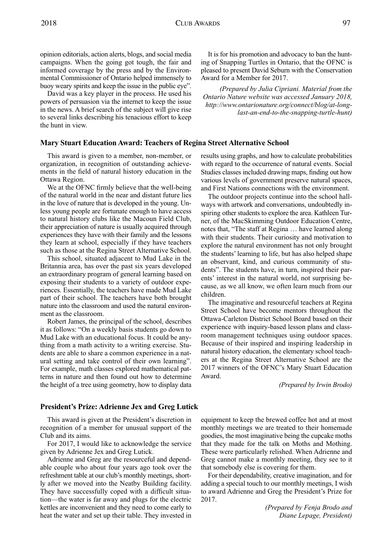opinion editorials, action alerts, blogs, and social media campaigns. When the going got tough, the fair and informed coverage by the press and by the Environmental Commissioner of Ontario helped immensely to buoy weary spirits and keep the issue in the public eye".

David was a key player in the process. He used his powers of persuasion via the internet to keep the issue in the news. A brief search of the subject will give rise to several links describing his tenacious effort to keep the hunt in view.

#### **Mary Stuart Education Award: Teachers of Regina Street Alternative School**

This award is given to a member, non-member, or organization, in recognition of outstanding achievements in the field of natural history education in the Ottawa Region.

We at the OFNC firmly believe that the well-being of the natural world in the near and distant future lies in the love of nature that is developed in the young. Unless young people are fortunate enough to have access to natural history clubs like the Macoun Field Club, their appreciation of nature is usually acquired through experiences they have with their family and the lessons they learn at school, especially if they have teachers such as those at the Regina Street Alternative School.

This school, situated adjacent to Mud lake in the Britannia area, has over the past six years developed an extraordinary program of general learning based on exposing their students to a variety of outdoor experiences. Essentially, the teachers have made Mud lake part of their school. The teachers have both brought nature into the classroom and used the natural environment as the classroom.

Robert James, the principal of the school, describes it as follows: "On a weekly basis students go down to Mud lake with an educational focus. It could be anything from a math activity to a writing exercise. Students are able to share a common experience in a natural setting and take control of their own learning". For example, math classes explored mathematical patterns in nature and then found out how to determine the height of a tree using geometry, how to display data

#### It is for his promotion and advocacy to ban the hunting of Snapping Turtles in Ontario, that the OFNC is pleased to present David Seburn with the Conservation Award for a Member for 2017.

*(Prepared by Julia Cipriani. Material from the Ontario Nature website was accessed January 2018, [http://www.ontarionature.org/connect/blog/at-long](http://www.ontarionature.org/connect/blog/at-long-last-an-end-to-the-snapping-turtle-hunt)[last-an-end-to-the-snapping-turtle-hunt\)](http://www.ontarionature.org/connect/blog/at-long-last-an-end-to-the-snapping-turtle-hunt)*

results using graphs, and how to calculate probabilities with regard to the occurrence of natural events. Social Studies classes included drawing maps, finding out how various levels of government preserve natural spaces, and First Nations connections with the environment.

The outdoor projects continue into the school hallways with artwork and conversations, undoubtedly inspiring other students to explore the area. Kathleen Turner, of the MacSkimming Outdoor Education Centre, notes that, "The staff at Regina ... have learned along with their students. Their curiosity and motivation to explore the natural environment has not only brought the students'learning to life, but has also helped shape an observant, kind, and curious community of students". The students have, in turn, inspired their parents' interest in the natural world, not surprising because, as we all know, we often learn much from our children.

The imaginative and resourceful teachers at Regina Street School have become mentors throughout the Ottawa-Carleton District School Board based on their experience with inquiry-based lesson plans and classroom management techniques using outdoor spaces. Because of their inspired and inspiring leadership in natural history education, the elementary school teachers at the Regina Street Alternative School are the 2017 winners of the OFNC's Mary Stuart Education Award.

*(Prepared by Irwin Brodo)*

#### **President's Prize: Adrienne Jex and Greg Lutick**

This award is given at the President's discretion in recognition of a member for unusual support of the Club and its aims.

For 2017, I would like to acknowledge the service given by Adrienne Jex and Greg lutick.

Adrienne and Greg are the resourceful and dependable couple who about four years ago took over the refreshment table at our club's monthly meetings, shortly after we moved into the Neatby Building facility. They have successfully coped with a difficult situation—the water is far away and plugs for the electric kettles are inconvenient and they need to come early to heat the water and set up their table. They invested in equipment to keep the brewed coffee hot and at most monthly meetings we are treated to their homemade goodies, the most imaginative being the cupcake moths that they made for the talk on Moths and Mothing. These were particularly relished. When Adrienne and Greg cannot make a monthly meeting, they see to it that somebody else is covering for them.

For their dependability, creative imagination, and for adding a special touch to our monthly meetings, I wish to award Adrienne and Greg the President's Prize for 2017.

> *(Prepared by Fenja Brodo and Diane Lepage, President)*